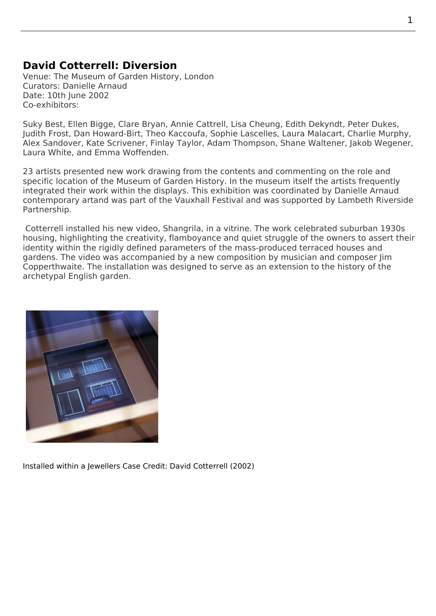## **David Cotterrell: Diversion**

Venue: The Museum of Garden History, London Curators: Danielle Arnaud Date: 10th June 2002 Co-exhibitors:

Suky Best, Ellen Bigge, Clare Bryan, Annie Cattrell, Lisa Cheung, Edith Dekyndt, Peter Dukes, Judith Frost, Dan Howard-Birt, Theo Kaccoufa, Sophie Lascelles, Laura Malacart, Charlie Murphy, Alex Sandover, Kate Scrivener, Finlay Taylor, Adam Thompson, Shane Waltener, Jakob Wegener, Laura White, and Emma Woffenden.

[23 artists pr](http://www.judithfrost.co.uk/)[esented new wor](http://www.vtogallery.com/content.php?page_id=1383)k [drawing from t](http://www.theoland.com/)[he contents and c](http://www.daniellearnaud.com/artists/artists-lascelles.html)ommenting on t[he role and](http://www.charliemurphy.co.uk/index.html) specific locatio[n of the Museum](http://courses.csm.arts.ac.uk/byamshaw/gallery.asp?area=6&objid=4) [of Garden Hi](http://www.camberwell.arts.ac.uk/36050.htm)[story. In the muse](http://www.adamthompson.co.uk/index.html)[um itself the artis](http://www.shanewaltener.com/index.html)[ts frequently](http://www.jakobwegener.com/index.htm) integrated their work within the displays. This exhibition was coordinated by Danielle Arnaud contemporary artand was part of the Vauxhall Festival and was supported by Lambeth Riverside Partnership.

 Cotterrell installed his new video, Shangrila, in a vitrine. The work celebrate[d suburban 1930](http://www.daniellearnaud.com/)s [housing, highlight](http://www.daniellearnaud.com/)ing the creativity, flamboyance and quiet struggle of the owners to assert their identity within the rigidly defined parameters of the mass-produced terraced houses and gardens. The video was accompanied by a new composition by musician and composer Jim Copperthwaite. The installation was designed to serve as an extension to the history of the archetypal English garden.



Installed within a Jewellers Case Credit: David Cotterrell (2002)